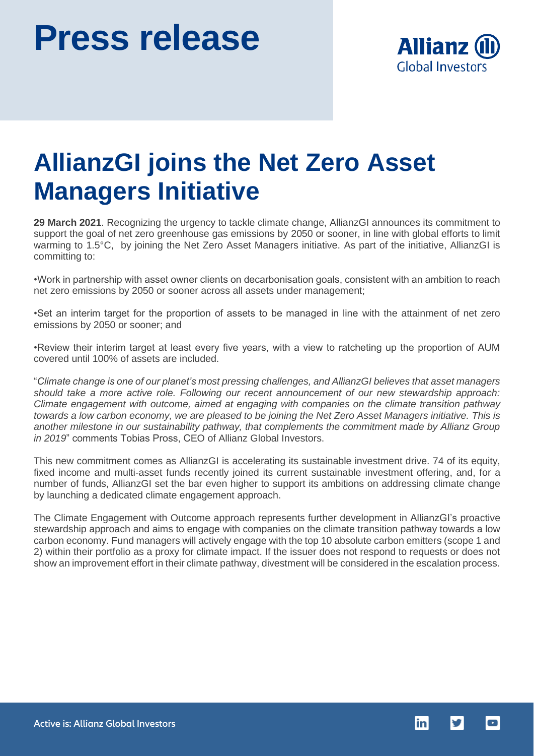

## **AllianzGI joins the Net Zero Asset Managers Initiative**

**29 March 2021**. Recognizing the urgency to tackle climate change, AllianzGI announces its commitment to support the goal of net zero greenhouse gas emissions by 2050 or sooner, in line with global efforts to limit warming to 1.5°C, by joining the Net Zero Asset Managers initiative. As part of the initiative, AllianzGI is committing to:

•Work in partnership with asset owner clients on decarbonisation goals, consistent with an ambition to reach net zero emissions by 2050 or sooner across all assets under management;

•Set an interim target for the proportion of assets to be managed in line with the attainment of net zero emissions by 2050 or sooner; and

•Review their interim target at least every five years, with a view to ratcheting up the proportion of AUM covered until 100% of assets are included.

"*Climate change is one of our planet's most pressing challenges, and AllianzGI believes that asset managers should take a more active role. Following our recent announcement of our new stewardship approach: Climate engagement with outcome, aimed at engaging with companies on the climate transition pathway towards a low carbon economy, we are pleased to be joining the Net Zero Asset Managers initiative. This is another milestone in our sustainability pathway, that complements the commitment made by Allianz Group in 2019*" comments Tobias Pross, CEO of Allianz Global Investors.

This new commitment comes as AllianzGI is accelerating its sustainable investment drive. 74 of its equity, fixed income and multi-asset funds recently joined its current sustainable investment offering, and, for a number of funds, AllianzGI set the bar even higher to support its ambitions on addressing climate change by launching a dedicated climate engagement approach.

The Climate Engagement with Outcome approach represents further development in AllianzGI's proactive stewardship approach and aims to engage with companies on the climate transition pathway towards a low carbon economy. Fund managers will actively engage with the top 10 absolute carbon emitters (scope 1 and 2) within their portfolio as a proxy for climate impact. If the issuer does not respond to requests or does not show an improvement effort in their climate pathway, divestment will be considered in the escalation process.